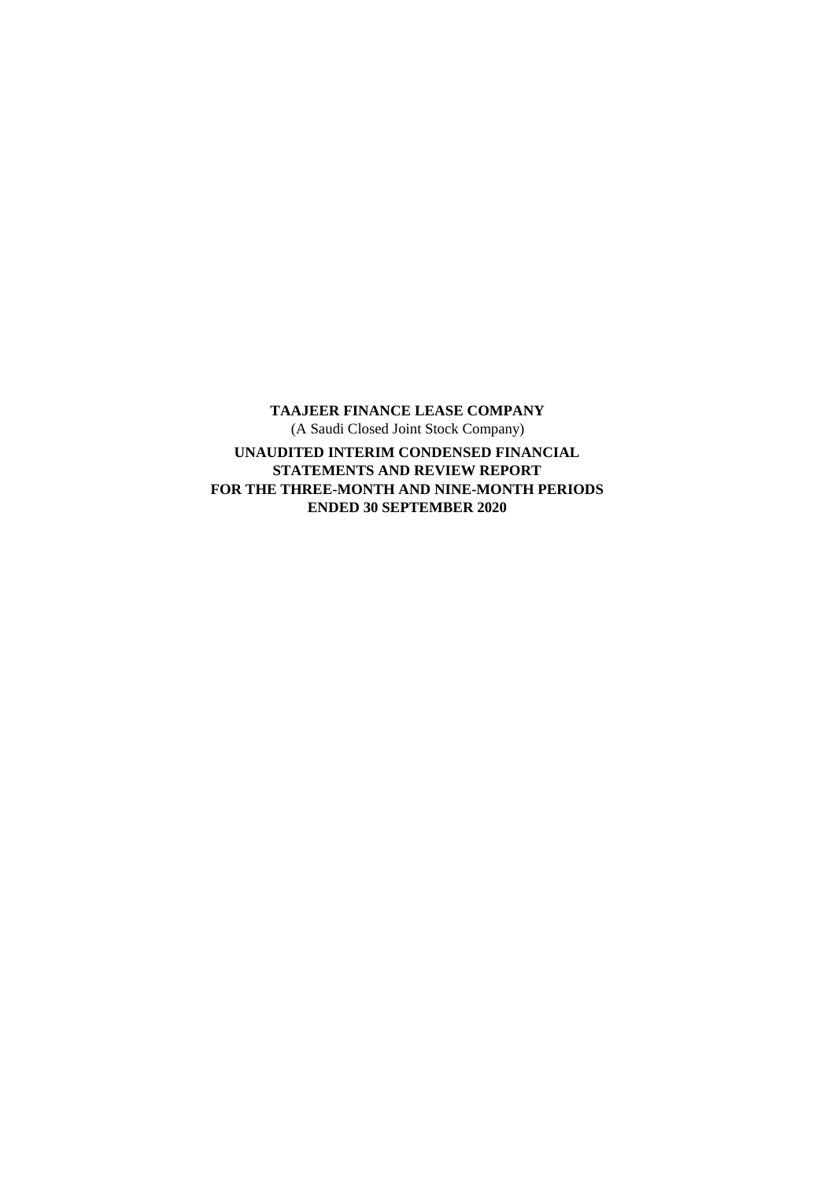**TAAJEER FINANCE LEASE COMPANY** (A Saudi Closed Joint Stock Company) **UNAUDITED INTERIM CONDENSED FINANCIAL STATEMENTS AND REVIEW REPORT FOR THE THREE-MONTH AND NINE-MONTH PERIODS ENDED 30 SEPTEMBER 2020**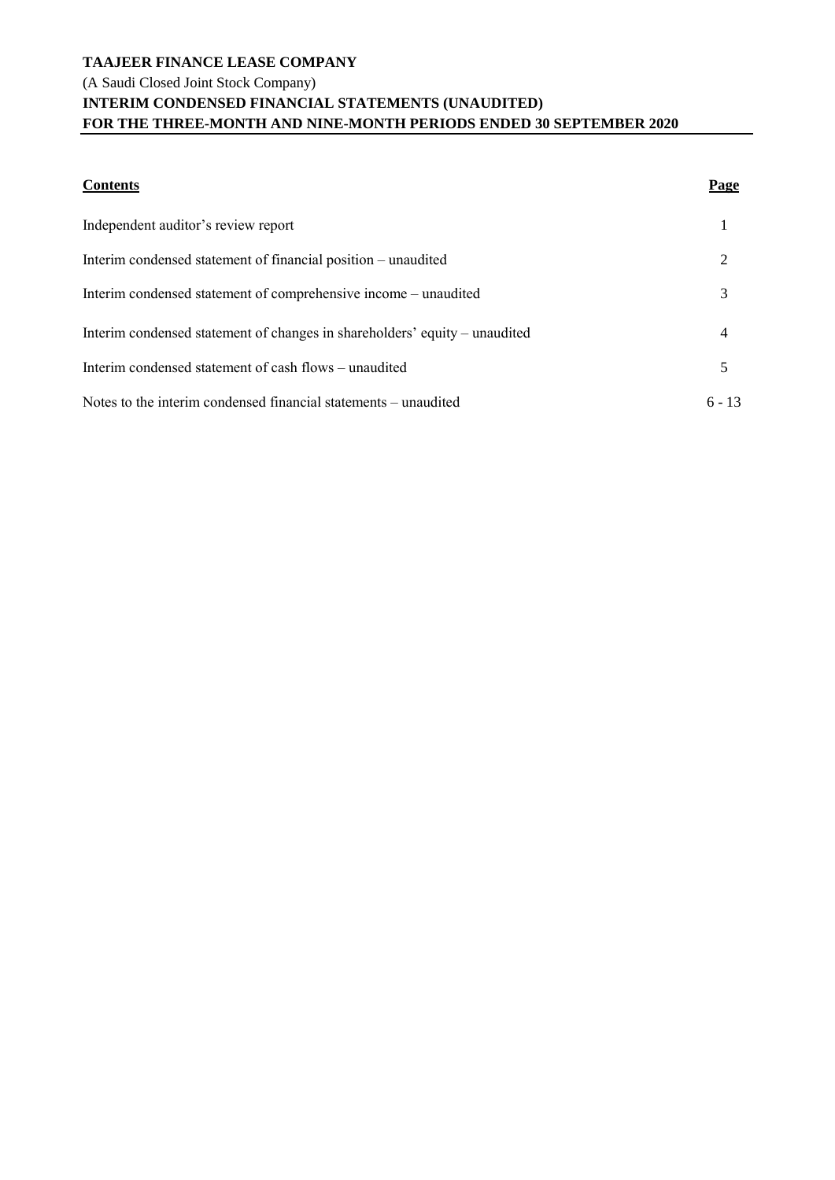# **TAAJEER FINANCE LEASE COMPANY** (A Saudi Closed Joint Stock Company) **INTERIM CONDENSED FINANCIAL STATEMENTS (UNAUDITED) FOR THE THREE-MONTH AND NINE-MONTH PERIODS ENDED 30 SEPTEMBER 2020**

| <b>Contents</b>                                                            | Page           |
|----------------------------------------------------------------------------|----------------|
| Independent auditor's review report                                        |                |
| Interim condensed statement of financial position – unaudited              | $\overline{2}$ |
| Interim condensed statement of comprehensive income – unaudited            | 3              |
| Interim condensed statement of changes in shareholders' equity – unaudited | 4              |
| Interim condensed statement of cash flows – unaudited                      | 5              |
| Notes to the interim condensed financial statements – unaudited            | $6 - 13$       |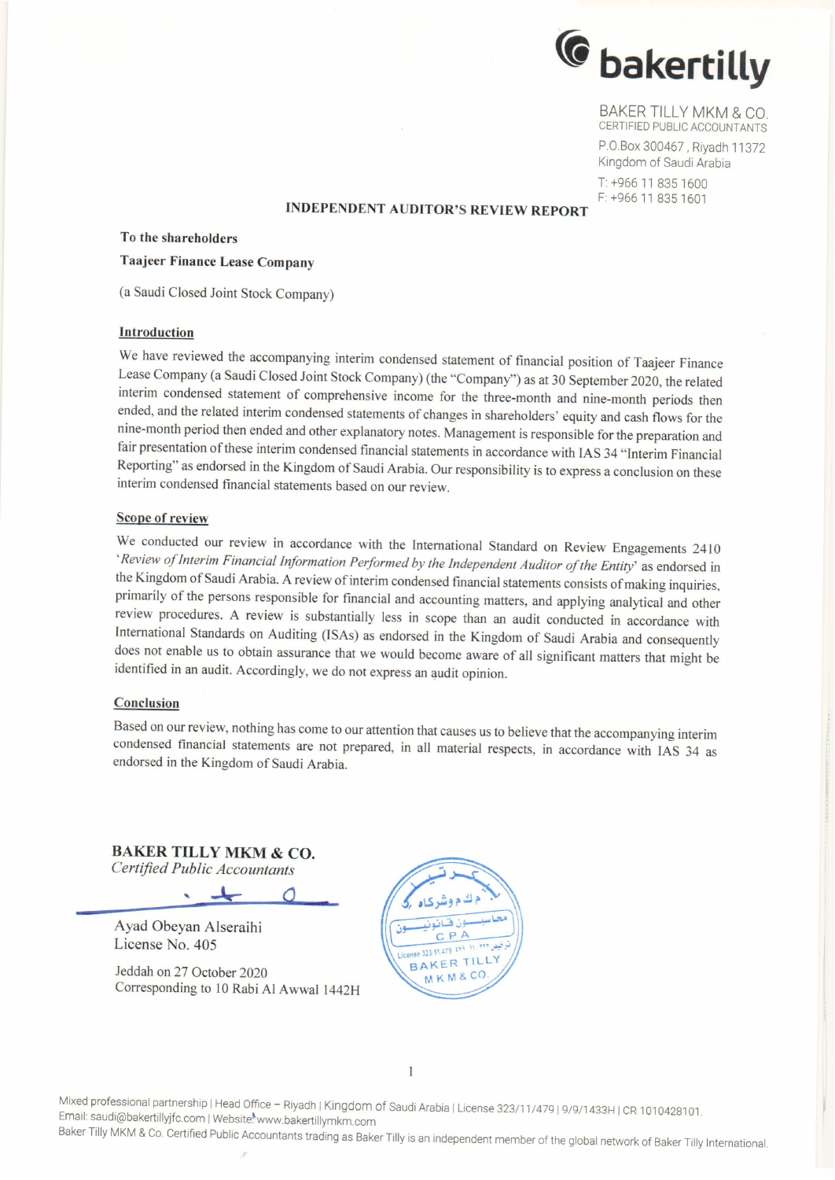

BAKER TILLY MKM & CO. CERTIFIED PUBLIC ACCOUNTANTS P.O.Box 300467, Riyadh 11372 Kingdom of Saudi Arabia

T: +966 11 835 1600 F: +966 11 835 1601

#### **INDEPENDENT AUDITOR'S REVIEW REPORT**

#### To the shareholders

# **Taajeer Finance Lease Company**

(a Saudi Closed Joint Stock Company)

#### Introduction

We have reviewed the accompanying interim condensed statement of financial position of Taajeer Finance Lease Company (a Saudi Closed Joint Stock Company) (the "Company") as at 30 September 2020, the related interim condensed statement of comprehensive income for the three-month and nine-month periods then ended, and the related interim condensed statements of changes in shareholders' equity and cash flows for the nine-month period then ended and other explanatory notes. Management is responsible for the preparation and fair presentation of these interim condensed financial statements in accordance with IAS 34 "Interim Financial Reporting" as endorsed in the Kingdom of Saudi Arabia. Our responsibility is to express a conclusion on these interim condensed financial statements based on our review.

#### **Scope of review**

We conducted our review in accordance with the International Standard on Review Engagements 2410 'Review of Interim Financial Information Performed by the Independent Auditor of the Entity' as endorsed in the Kingdom of Saudi Arabia. A review of interim condensed financial statements consists of making inquiries, primarily of the persons responsible for financial and accounting matters, and applying analytical and other review procedures. A review is substantially less in scope than an audit conducted in accordance with International Standards on Auditing (ISAs) as endorsed in the Kingdom of Saudi Arabia and consequently does not enable us to obtain assurance that we would become aware of all significant matters that might be identified in an audit. Accordingly, we do not express an audit opinion.

#### Conclusion

Based on our review, nothing has come to our attention that causes us to believe that the accompanying interim condensed financial statements are not prepared, in all material respects, in accordance with IAS 34 as endorsed in the Kingdom of Saudi Arabia.

**BAKER TILLY MKM & CO.** Certified Public Accountants

 $\circ$ 

Ayad Obeyan Alseraihi License No. 405

Jeddah on 27 October 2020 Corresponding to 10 Rabi Al Awwal 1442H



 $\overline{1}$ 

Mixed professional partnership | Head Office - Riyadh | Kingdom of Saudi Arabia | License 323/11/479 | 9/9/1433H | CR 1010428101. Email: saudi@bakertillyjfc.com | Website.www.bakertillymkm.com Baker Tilly MKM & Co. Certified Public Accountants trading as Baker Tilly is an independent member of the global network of Baker Tilly International.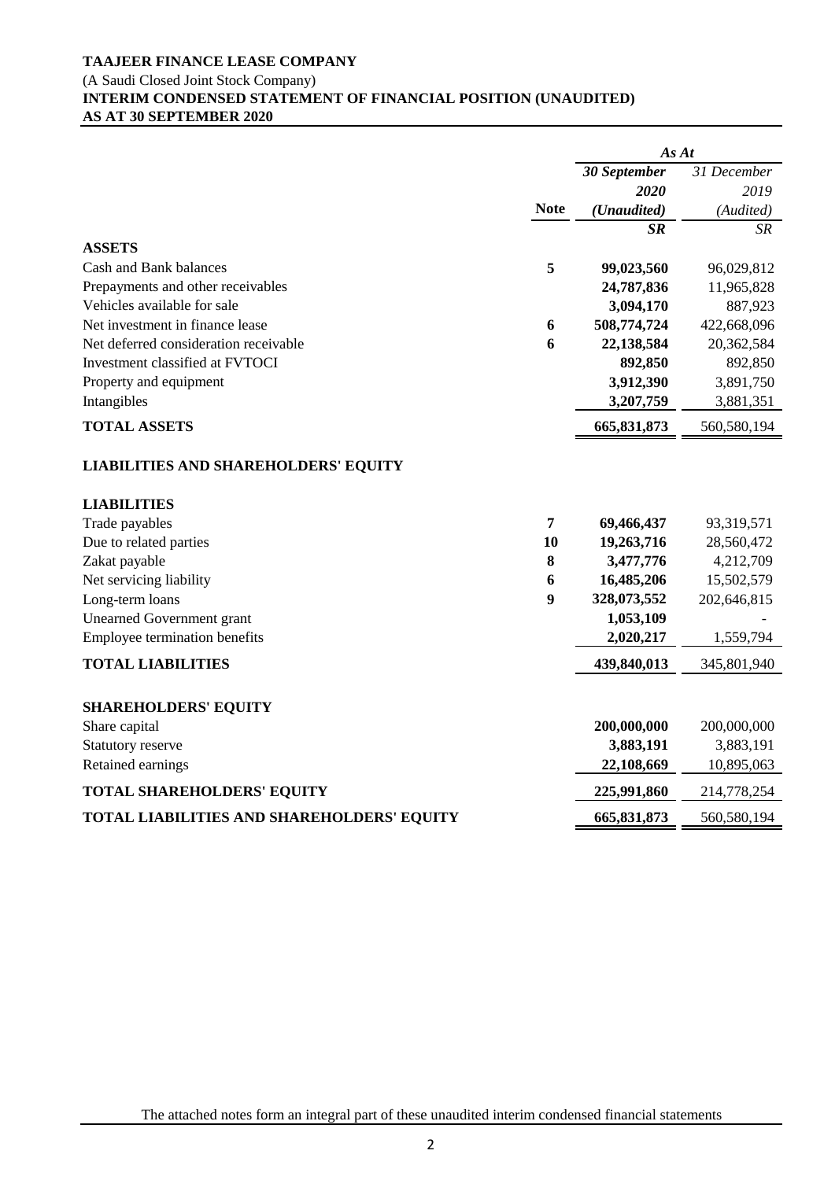# **TAAJEER FINANCE LEASE COMPANY** (A Saudi Closed Joint Stock Company) **INTERIM CONDENSED STATEMENT OF FINANCIAL POSITION (UNAUDITED) AS AT 30 SEPTEMBER 2020**

|                                             |             | As At        |             |
|---------------------------------------------|-------------|--------------|-------------|
|                                             |             | 30 September | 31 December |
|                                             |             | 2020         | 2019        |
|                                             | <b>Note</b> | (Unaudited)  | (Audited)   |
|                                             |             | $S_{I\!\!R}$ | SR          |
| <b>ASSETS</b>                               |             |              |             |
| Cash and Bank balances                      | 5           | 99,023,560   | 96,029,812  |
| Prepayments and other receivables           |             | 24,787,836   | 11,965,828  |
| Vehicles available for sale                 |             | 3,094,170    | 887,923     |
| Net investment in finance lease             | 6           | 508,774,724  | 422,668,096 |
| Net deferred consideration receivable       | 6           | 22,138,584   | 20,362,584  |
| Investment classified at FVTOCI             |             | 892,850      | 892,850     |
| Property and equipment                      |             | 3,912,390    | 3,891,750   |
| Intangibles                                 |             | 3,207,759    | 3,881,351   |
| <b>TOTAL ASSETS</b>                         |             | 665,831,873  | 560,580,194 |
| <b>LIABILITIES AND SHAREHOLDERS' EQUITY</b> |             |              |             |
| <b>LIABILITIES</b>                          |             |              |             |
| Trade payables                              | 7           | 69,466,437   | 93,319,571  |
| Due to related parties                      | 10          | 19,263,716   | 28,560,472  |
| Zakat payable                               | 8           | 3,477,776    | 4,212,709   |
| Net servicing liability                     | 6           | 16,485,206   | 15,502,579  |
| Long-term loans                             | 9           | 328,073,552  | 202,646,815 |
| <b>Unearned Government grant</b>            |             | 1,053,109    |             |
| Employee termination benefits               |             | 2,020,217    | 1,559,794   |
| <b>TOTAL LIABILITIES</b>                    |             | 439,840,013  | 345,801,940 |
| <b>SHAREHOLDERS' EQUITY</b>                 |             |              |             |
| Share capital                               |             | 200,000,000  | 200,000,000 |
| Statutory reserve                           |             | 3,883,191    | 3,883,191   |
| Retained earnings                           |             | 22,108,669   | 10,895,063  |
| <b>TOTAL SHAREHOLDERS' EQUITY</b>           |             | 225,991,860  | 214,778,254 |
| TOTAL LIABILITIES AND SHAREHOLDERS' EQUITY  |             | 665,831,873  | 560,580,194 |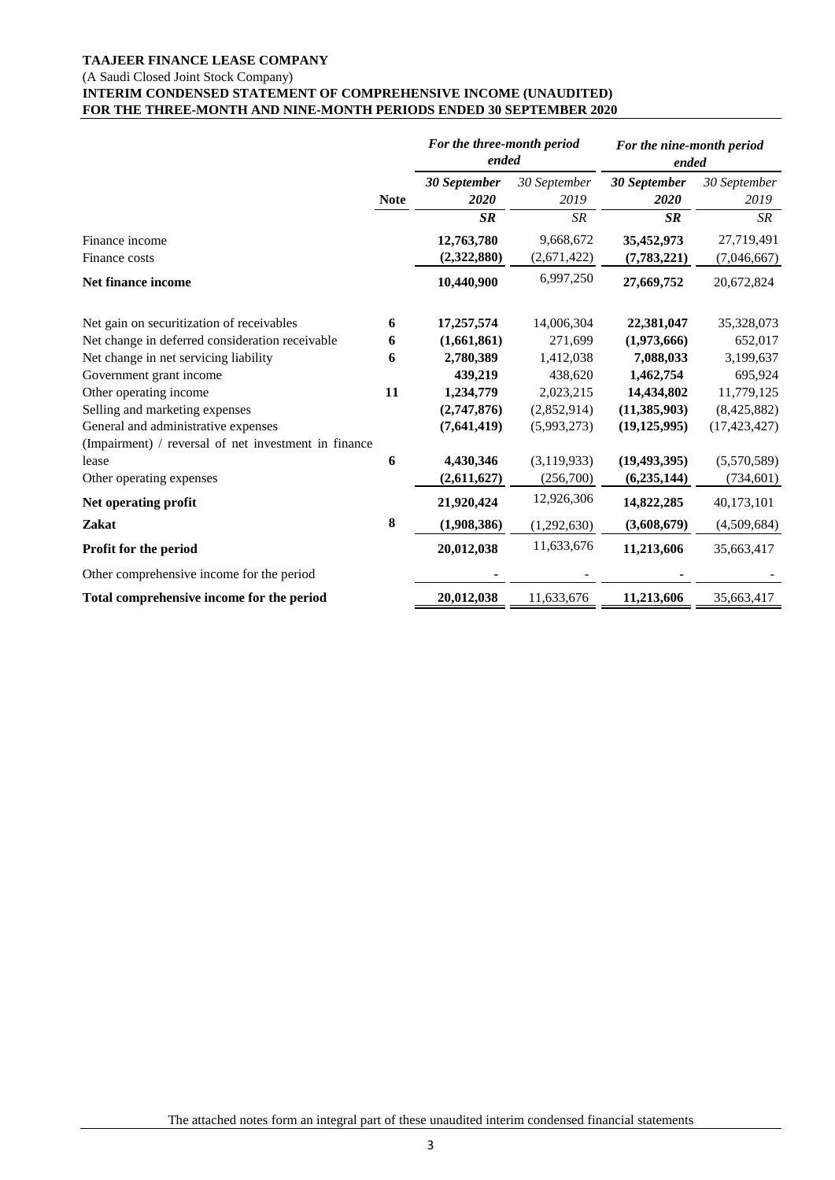#### **TAAJEER FINANCE LEASE COMPANY** (A Saudi Closed Joint Stock Company) **INTERIM CONDENSED STATEMENT OF COMPREHENSIVE INCOME (UNAUDITED)**  FOR THE THREE-MONTH AND NINE-MONTH PERIODS ENDED 30 SEPTEMBER 2020

|                                                      |             | For the three-month period<br>ended |                      | For the nine-month period<br>ended |                      |
|------------------------------------------------------|-------------|-------------------------------------|----------------------|------------------------------------|----------------------|
|                                                      | <b>Note</b> | 30 September<br>2020                | 30 September<br>2019 | 30 September<br>2020               | 30 September<br>2019 |
|                                                      |             | <b>SR</b>                           | <b>SR</b>            | <b>SR</b>                          | <b>SR</b>            |
| Finance income                                       |             | 12,763,780                          | 9,668,672            | 35,452,973                         | 27,719,491           |
| Finance costs                                        |             | (2,322,880)                         | (2,671,422)          | (7,783,221)                        | (7,046,667)          |
| Net finance income                                   |             | 10,440,900                          | 6,997,250            | 27,669,752                         | 20,672,824           |
| Net gain on securitization of receivables            | 6           | 17,257,574                          | 14,006,304           | 22,381,047                         | 35,328,073           |
| Net change in deferred consideration receivable      | 6           | (1,661,861)                         | 271,699              | (1,973,666)                        | 652,017              |
| Net change in net servicing liability                | 6           | 2,780,389                           | 1,412,038            | 7,088,033                          | 3,199,637            |
| Government grant income                              |             | 439,219                             | 438,620              | 1,462,754                          | 695,924              |
| Other operating income                               | 11          | 1,234,779                           | 2,023,215            | 14,434,802                         | 11,779,125           |
| Selling and marketing expenses                       |             | (2,747,876)                         | (2,852,914)          | (11, 385, 903)                     | (8,425,882)          |
| General and administrative expenses                  |             | (7,641,419)                         | (5,993,273)          | (19, 125, 995)                     | (17, 423, 427)       |
| (Impairment) / reversal of net investment in finance |             |                                     |                      |                                    |                      |
| lease                                                | 6           | 4,430,346                           | (3, 119, 933)        | (19, 493, 395)                     | (5,570,589)          |
| Other operating expenses                             |             | (2,611,627)                         | (256,700)            | (6,235,144)                        | (734, 601)           |
| Net operating profit                                 |             | 21,920,424                          | 12,926,306           | 14,822,285                         | 40,173,101           |
| Zakat                                                | 8           | (1,908,386)                         | (1,292,630)          | (3,608,679)                        | (4,509,684)          |
| Profit for the period                                |             | 20,012,038                          | 11,633,676           | 11,213,606                         | 35,663,417           |
| Other comprehensive income for the period            |             |                                     |                      |                                    |                      |
| Total comprehensive income for the period            |             | 20,012,038                          | 11,633,676           | 11,213,606                         | 35,663,417           |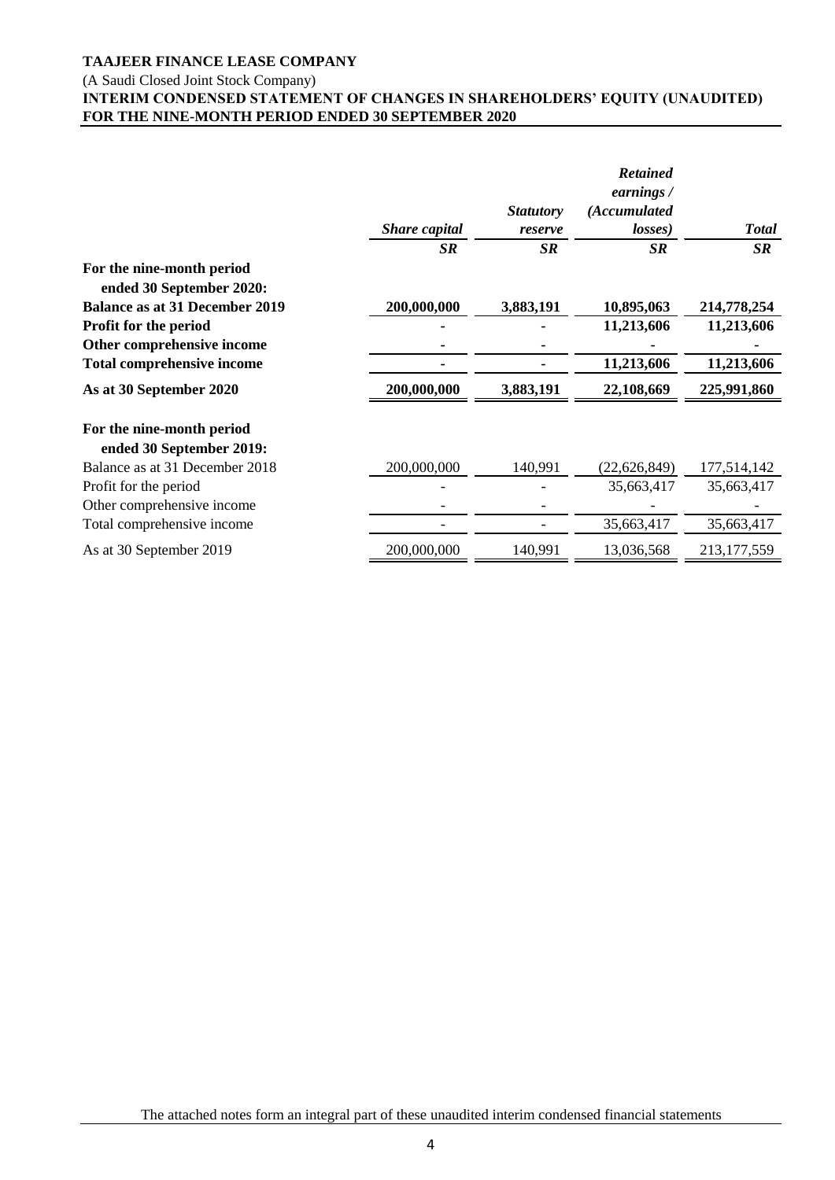### (A Saudi Closed Joint Stock Company)

# **INTERIM CONDENSED STATEMENT OF CHANGES IN SHAREHOLDERS' EQUITY (UNAUDITED) FOR THE NINE-MONTH PERIOD ENDED 30 SEPTEMBER 2020**

|                                                       |               |                  | <b>Retained</b><br>earnings / |               |
|-------------------------------------------------------|---------------|------------------|-------------------------------|---------------|
|                                                       |               | <b>Statutory</b> | (Accumulated                  |               |
|                                                       | Share capital | reserve          | losses)                       | <b>Total</b>  |
|                                                       | <b>SR</b>     | <b>SR</b>        | <b>SR</b>                     | <b>SR</b>     |
| For the nine-month period<br>ended 30 September 2020: |               |                  |                               |               |
| <b>Balance as at 31 December 2019</b>                 | 200,000,000   | 3,883,191        | 10,895,063                    | 214,778,254   |
| Profit for the period                                 |               |                  | 11,213,606                    | 11,213,606    |
| Other comprehensive income                            |               |                  |                               |               |
| <b>Total comprehensive income</b>                     |               |                  | 11,213,606                    | 11,213,606    |
| As at 30 September 2020                               | 200,000,000   | 3,883,191        | 22,108,669                    | 225,991,860   |
| For the nine-month period<br>ended 30 September 2019: |               |                  |                               |               |
| Balance as at 31 December 2018                        | 200,000,000   | 140,991          | (22, 626, 849)                | 177,514,142   |
| Profit for the period                                 |               |                  | 35,663,417                    | 35,663,417    |
| Other comprehensive income                            |               |                  |                               |               |
| Total comprehensive income                            |               |                  | 35,663,417                    | 35,663,417    |
| As at 30 September 2019                               | 200,000,000   | 140,991          | 13,036,568                    | 213, 177, 559 |

The attached notes form an integral part of these unaudited interim condensed financial statements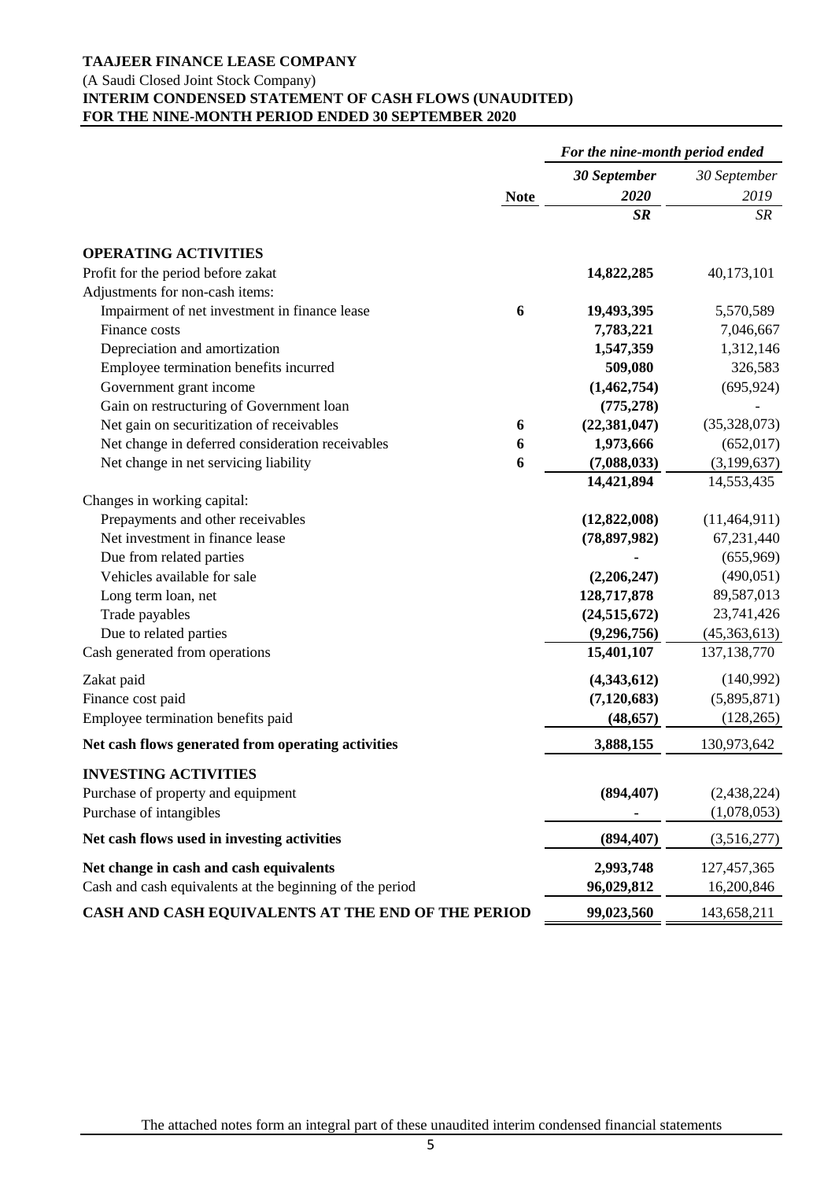## (A Saudi Closed Joint Stock Company)

# **INTERIM CONDENSED STATEMENT OF CASH FLOWS (UNAUDITED) FOR THE NINE-MONTH PERIOD ENDED 30 SEPTEMBER 2020**

|                                                                                                     |             | For the nine-month period ended |                             |
|-----------------------------------------------------------------------------------------------------|-------------|---------------------------------|-----------------------------|
|                                                                                                     |             | 30 September                    | 30 September                |
|                                                                                                     | <b>Note</b> | 2020                            | 2019                        |
|                                                                                                     |             | <b>SR</b>                       | SR                          |
| <b>OPERATING ACTIVITIES</b>                                                                         |             |                                 |                             |
| Profit for the period before zakat                                                                  |             | 14,822,285                      | 40,173,101                  |
| Adjustments for non-cash items:                                                                     |             |                                 |                             |
| Impairment of net investment in finance lease                                                       | 6           | 19,493,395                      | 5,570,589                   |
| Finance costs                                                                                       |             | 7,783,221                       | 7,046,667                   |
| Depreciation and amortization                                                                       |             | 1,547,359                       | 1,312,146                   |
| Employee termination benefits incurred                                                              |             | 509,080                         | 326,583                     |
| Government grant income                                                                             |             | (1,462,754)                     | (695, 924)                  |
| Gain on restructuring of Government loan                                                            |             | (775, 278)                      |                             |
| Net gain on securitization of receivables                                                           | 6           | (22, 381, 047)                  | (35,328,073)                |
| Net change in deferred consideration receivables                                                    | 6           | 1,973,666                       | (652, 017)                  |
| Net change in net servicing liability                                                               | 6           | (7,088,033)                     | (3,199,637)                 |
|                                                                                                     |             | 14,421,894                      | 14,553,435                  |
| Changes in working capital:                                                                         |             |                                 |                             |
| Prepayments and other receivables                                                                   |             | (12,822,008)                    | (11, 464, 911)              |
| Net investment in finance lease                                                                     |             | (78, 897, 982)                  | 67,231,440                  |
| Due from related parties                                                                            |             |                                 | (655,969)                   |
| Vehicles available for sale                                                                         |             | (2,206,247)                     | (490,051)                   |
| Long term loan, net                                                                                 |             | 128,717,878                     | 89,587,013                  |
| Trade payables                                                                                      |             | (24, 515, 672)                  | 23,741,426                  |
| Due to related parties                                                                              |             | (9, 296, 756)                   | (45,363,613)                |
| Cash generated from operations                                                                      |             | 15,401,107                      | 137, 138, 770               |
| Zakat paid                                                                                          |             | (4,343,612)                     | (140,992)                   |
| Finance cost paid                                                                                   |             | (7, 120, 683)                   | (5,895,871)                 |
| Employee termination benefits paid                                                                  |             | (48, 657)                       | (128, 265)                  |
| Net cash flows generated from operating activities                                                  |             | 3,888,155                       | 130,973,642                 |
| <b>INVESTING ACTIVITIES</b>                                                                         |             |                                 |                             |
| Purchase of property and equipment                                                                  |             | (894, 407)                      | (2,438,224)                 |
| Purchase of intangibles                                                                             |             |                                 | (1,078,053)                 |
| Net cash flows used in investing activities                                                         |             | (894, 407)                      | (3,516,277)                 |
|                                                                                                     |             | 2,993,748                       |                             |
| Net change in cash and cash equivalents<br>Cash and cash equivalents at the beginning of the period |             | 96,029,812                      | 127, 457, 365<br>16,200,846 |
|                                                                                                     |             | 99,023,560                      |                             |
| CASH AND CASH EQUIVALENTS AT THE END OF THE PERIOD                                                  |             |                                 | 143,658,211                 |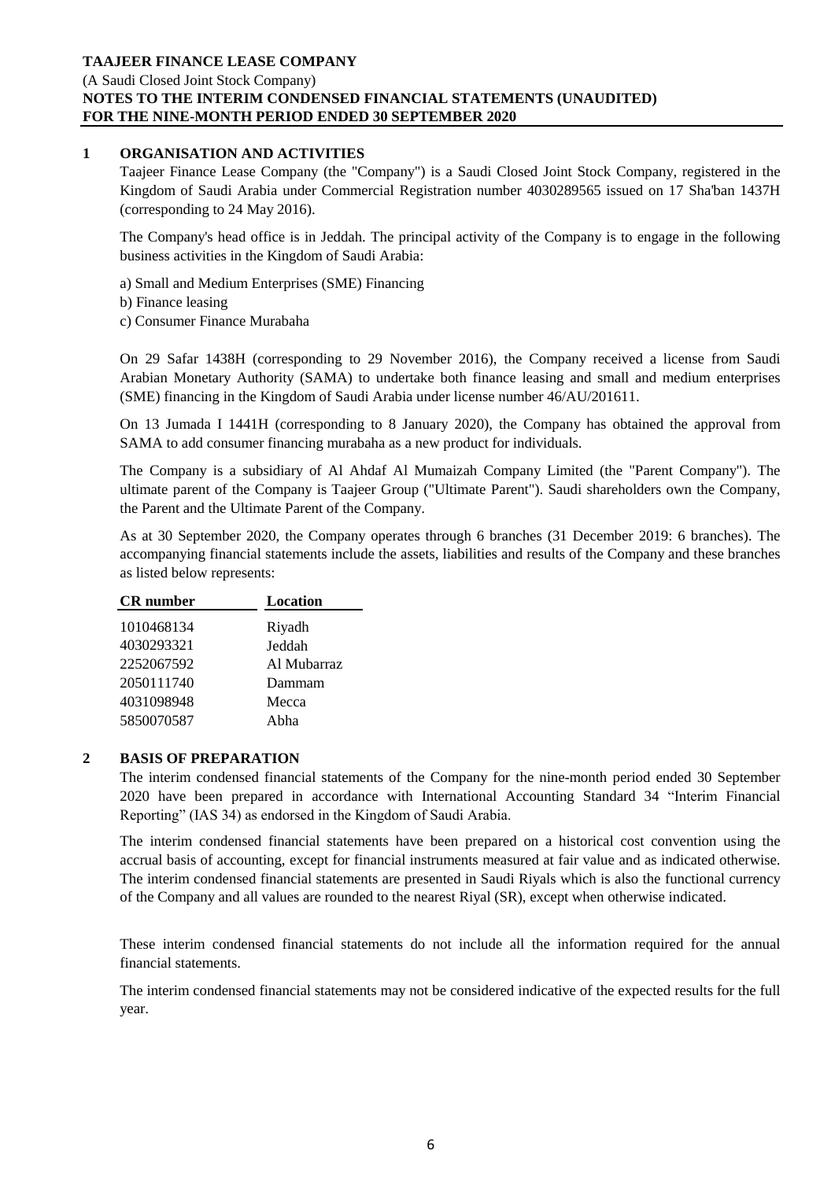### **TAAJEER FINANCE LEASE COMPANY** (A Saudi Closed Joint Stock Company) **NOTES TO THE INTERIM CONDENSED FINANCIAL STATEMENTS (UNAUDITED) FOR THE NINE-MONTH PERIOD ENDED 30 SEPTEMBER 2020**

### **1 ORGANISATION AND ACTIVITIES**

Taajeer Finance Lease Company (the "Company") is a Saudi Closed Joint Stock Company, registered in the Kingdom of Saudi Arabia under Commercial Registration number 4030289565 issued on 17 Sha'ban 1437H (corresponding to 24 May 2016).

The Company's head office is in Jeddah. The principal activity of the Company is to engage in the following business activities in the Kingdom of Saudi Arabia:

a) Small and Medium Enterprises (SME) Financing

- b) Finance leasing
- c) Consumer Finance Murabaha

On 29 Safar 1438H (corresponding to 29 November 2016), the Company received a license from Saudi Arabian Monetary Authority (SAMA) to undertake both finance leasing and small and medium enterprises (SME) financing in the Kingdom of Saudi Arabia under license number 46/AU/201611.

On 13 Jumada I 1441H (corresponding to 8 January 2020), the Company has obtained the approval from SAMA to add consumer financing murabaha as a new product for individuals.

The Company is a subsidiary of Al Ahdaf Al Mumaizah Company Limited (the "Parent Company"). The ultimate parent of the Company is Taajeer Group ("Ultimate Parent"). Saudi shareholders own the Company, the Parent and the Ultimate Parent of the Company.

As at 30 September 2020, the Company operates through 6 branches (31 December 2019: 6 branches). The accompanying financial statements include the assets, liabilities and results of the Company and these branches as listed below represents:

| <b>CR</b> number | Location    |
|------------------|-------------|
| 1010468134       | Riyadh      |
| 4030293321       | Jeddah      |
| 2252067592       | Al Mubarraz |
| 2050111740       | Dammam      |
| 4031098948       | Mecca       |
| 5850070587       | Abha        |

### **2 BASIS OF PREPARATION**

The interim condensed financial statements of the Company for the nine-month period ended 30 September 2020 have been prepared in accordance with International Accounting Standard 34 "Interim Financial Reporting" (IAS 34) as endorsed in the Kingdom of Saudi Arabia.

The interim condensed financial statements have been prepared on a historical cost convention using the accrual basis of accounting, except for financial instruments measured at fair value and as indicated otherwise. The interim condensed financial statements are presented in Saudi Riyals which is also the functional currency of the Company and all values are rounded to the nearest Riyal (SR), except when otherwise indicated.

These interim condensed financial statements do not include all the information required for the annual financial statements.

The interim condensed financial statements may not be considered indicative of the expected results for the full year.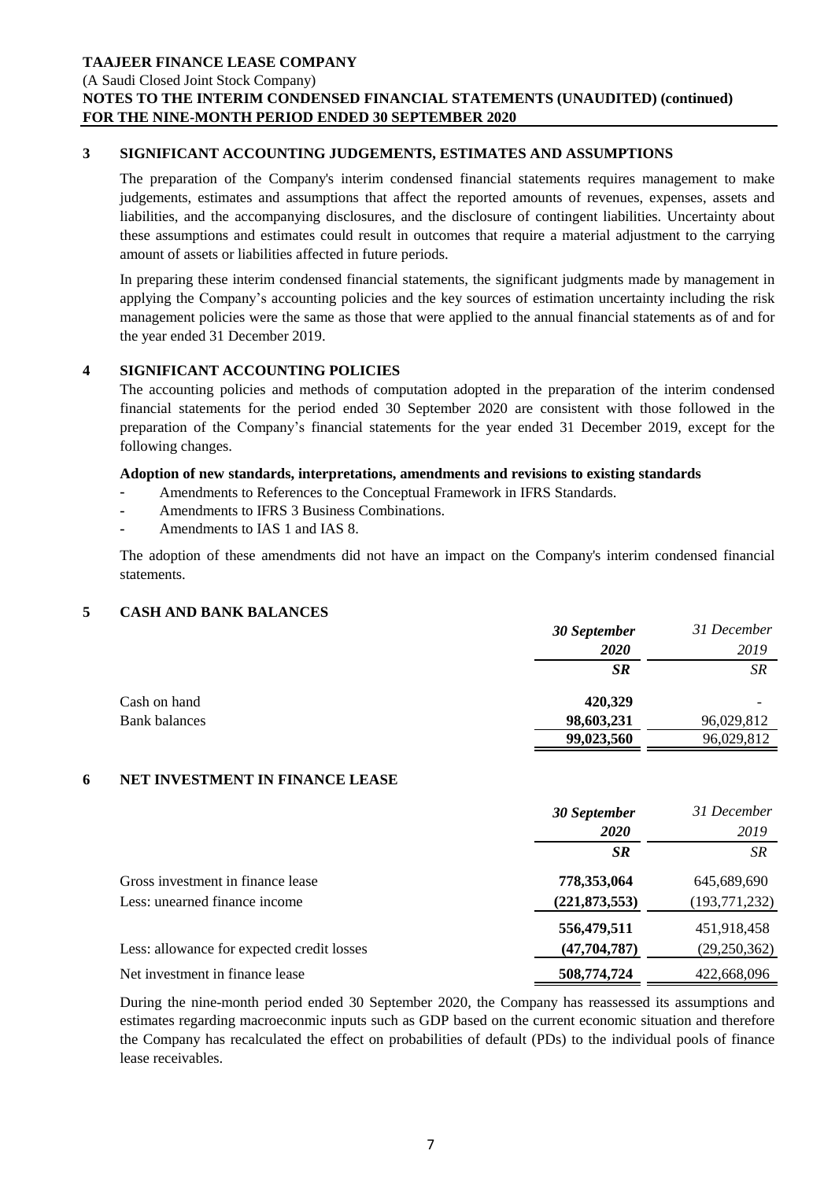(A Saudi Closed Joint Stock Company)

# **NOTES TO THE INTERIM CONDENSED FINANCIAL STATEMENTS (UNAUDITED) (continued) FOR THE NINE-MONTH PERIOD ENDED 30 SEPTEMBER 2020**

### **3 SIGNIFICANT ACCOUNTING JUDGEMENTS, ESTIMATES AND ASSUMPTIONS**

The preparation of the Company's interim condensed financial statements requires management to make judgements, estimates and assumptions that affect the reported amounts of revenues, expenses, assets and liabilities, and the accompanying disclosures, and the disclosure of contingent liabilities. Uncertainty about these assumptions and estimates could result in outcomes that require a material adjustment to the carrying amount of assets or liabilities affected in future periods.

In preparing these interim condensed financial statements, the significant judgments made by management in applying the Company's accounting policies and the key sources of estimation uncertainty including the risk management policies were the same as those that were applied to the annual financial statements as of and for the year ended 31 December 2019.

## **4 SIGNIFICANT ACCOUNTING POLICIES**

The accounting policies and methods of computation adopted in the preparation of the interim condensed financial statements for the period ended 30 September 2020 are consistent with those followed in the preparation of the Company's financial statements for the year ended 31 December 2019, except for the following changes.

#### **Adoption of new standards, interpretations, amendments and revisions to existing standards**

- **-** Amendments to References to the Conceptual Framework in IFRS Standards.
- **-** Amendments to IFRS 3 Business Combinations.
- **-** Amendments to IAS 1 and IAS 8.

The adoption of these amendments did not have an impact on the Company's interim condensed financial statements.

### **5 CASH AND BANK BALANCES**

|                      | 30 September | 31 December |
|----------------------|--------------|-------------|
|                      | 2020         | 2019        |
|                      | <b>SR</b>    | <b>SR</b>   |
| Cash on hand         | 420,329      |             |
| <b>Bank balances</b> | 98,603,231   | 96,029,812  |
|                      | 99,023,560   | 96,029,812  |

### **6 NET INVESTMENT IN FINANCE LEASE**

|                                            | 30 September    | 31 December     |
|--------------------------------------------|-----------------|-----------------|
|                                            | <b>2020</b>     | 2019            |
|                                            | <b>SR</b>       | <b>SR</b>       |
| Gross investment in finance lease          | 778,353,064     | 645,689,690     |
| Less: unearned finance income              | (221, 873, 553) | (193, 771, 232) |
|                                            | 556,479,511     | 451,918,458     |
| Less: allowance for expected credit losses | (47, 704, 787)  | (29,250,362)    |
| Net investment in finance lease            | 508,774,724     | 422,668,096     |

During the nine-month period ended 30 September 2020, the Company has reassessed its assumptions and estimates regarding macroeconmic inputs such as GDP based on the current economic situation and therefore the Company has recalculated the effect on probabilities of default (PDs) to the individual pools of finance lease receivables.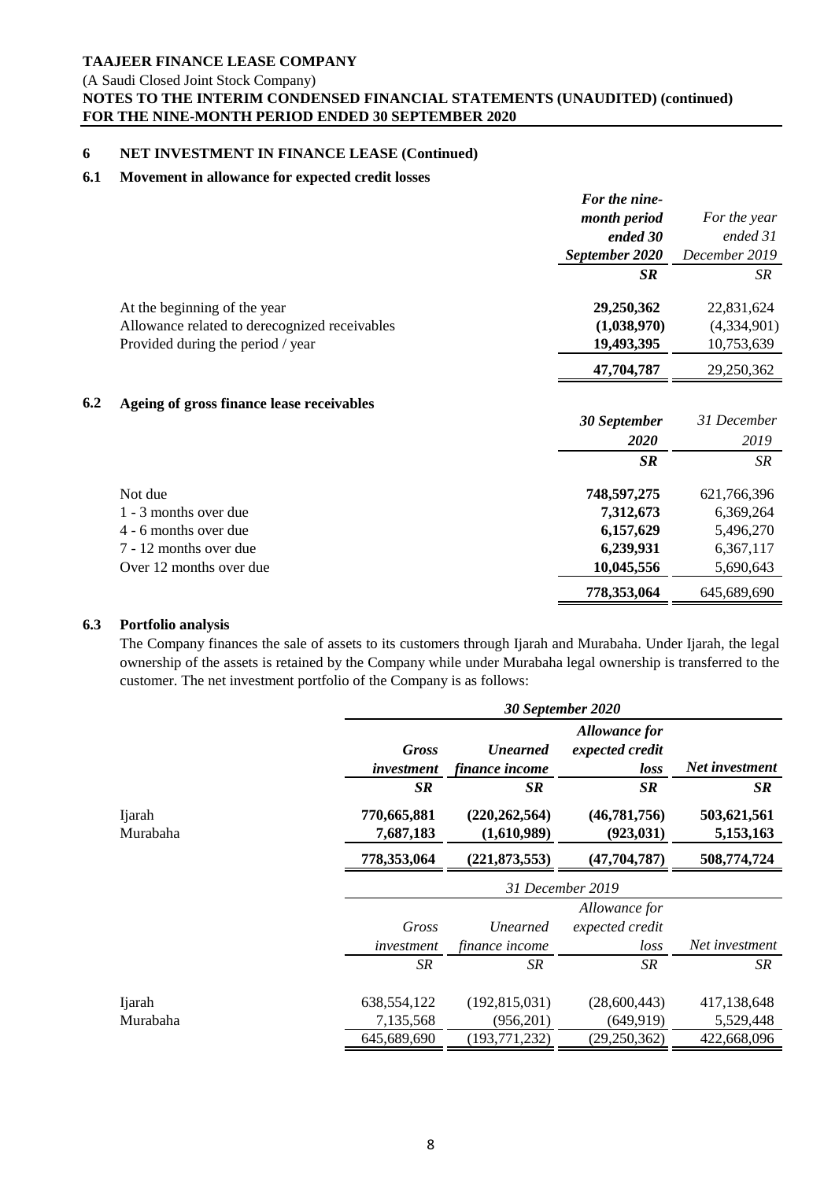(A Saudi Closed Joint Stock Company)

# **NOTES TO THE INTERIM CONDENSED FINANCIAL STATEMENTS (UNAUDITED) (continued) FOR THE NINE-MONTH PERIOD ENDED 30 SEPTEMBER 2020**

## **6 NET INVESTMENT IN FINANCE LEASE (Continued)**

# **6.1 Movement in allowance for expected credit losses**

|     |                                               | For the nine-  |               |
|-----|-----------------------------------------------|----------------|---------------|
|     |                                               | month period   | For the year  |
|     |                                               | ended 30       | ended 31      |
|     |                                               | September 2020 | December 2019 |
|     |                                               | <b>SR</b>      | SR.           |
|     | At the beginning of the year                  | 29,250,362     | 22,831,624    |
|     | Allowance related to derecognized receivables | (1,038,970)    | (4,334,901)   |
|     | Provided during the period / year             | 19,493,395     | 10,753,639    |
|     |                                               | 47,704,787     | 29,250,362    |
| 6.2 | Ageing of gross finance lease receivables     |                |               |
|     |                                               | 30 September   | 31 December   |
|     |                                               | 2020           | 2019          |
|     |                                               | <b>SR</b>      | SR            |
|     | Not due                                       | 748,597,275    | 621,766,396   |
|     | 1 - 3 months over due                         | 7,312,673      | 6,369,264     |
|     | 4 - 6 months over due                         | 6,157,629      | 5,496,270     |
|     | 7 - 12 months over due                        | 6,239,931      | 6,367,117     |
|     | Over 12 months over due                       | 10,045,556     | 5,690,643     |

### **6.3 Portfolio analysis**

The Company finances the sale of assets to its customers through Ijarah and Murabaha. Under Ijarah, the legal ownership of the assets is retained by the Company while under Murabaha legal ownership is transferred to the customer. The net investment portfolio of the Company is as follows:

 **778,353,064** 645,689,690

|                    |                            | 30 September 2020                 |                                                 |                          |  |
|--------------------|----------------------------|-----------------------------------|-------------------------------------------------|--------------------------|--|
|                    | <b>Gross</b><br>investment | <b>Unearned</b><br>finance income | <b>Allowance for</b><br>expected credit<br>loss | Net investment           |  |
|                    | <b>SR</b>                  | <b>SR</b>                         | SR                                              | <b>SR</b>                |  |
| Ijarah<br>Murabaha | 770,665,881<br>7,687,183   | (220, 262, 564)<br>(1,610,989)    | (46, 781, 756)<br>(923, 031)                    | 503,621,561<br>5,153,163 |  |
|                    | 778,353,064                | (221, 873, 553)                   | (47, 704, 787)                                  | 508,774,724              |  |
|                    | 31 December 2019           |                                   |                                                 |                          |  |
|                    |                            |                                   | Allowance for                                   |                          |  |
|                    | Gross                      | <b>Unearned</b>                   | expected credit                                 |                          |  |
|                    | investment                 | finance income                    | $\log s$                                        | Net investment           |  |
|                    | <b>SR</b>                  | SR                                | SR                                              | SR                       |  |
| <b>I</b> jarah     | 638, 554, 122              | (192, 815, 031)                   | (28,600,443)                                    | 417,138,648              |  |
| Murabaha           | 7,135,568                  | (956,201)                         | (649, 919)                                      | 5,529,448                |  |
|                    | 645,689,690                | (193, 771, 232)                   | (29,250,362)                                    | 422,668,096              |  |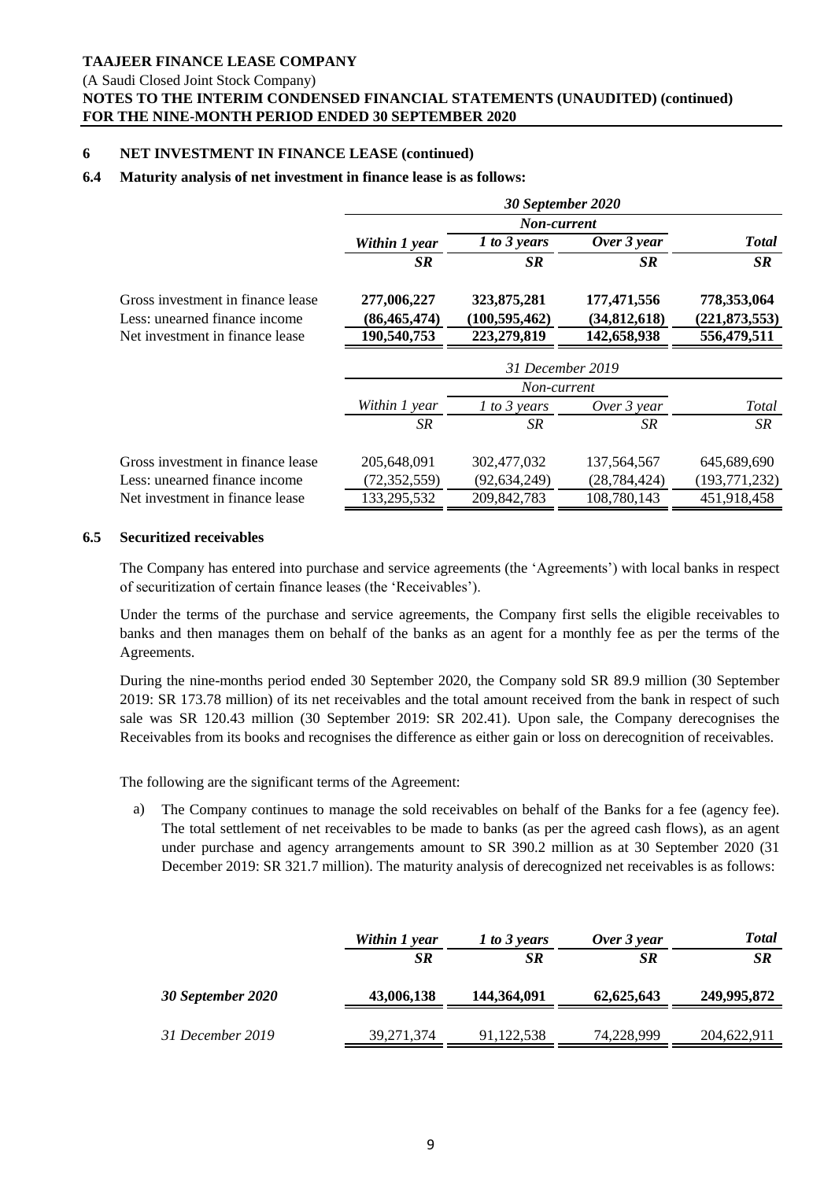(A Saudi Closed Joint Stock Company)

# **NOTES TO THE INTERIM CONDENSED FINANCIAL STATEMENTS (UNAUDITED) (continued) FOR THE NINE-MONTH PERIOD ENDED 30 SEPTEMBER 2020**

## **6 NET INVESTMENT IN FINANCE LEASE (continued)**

## **6.4 Maturity analysis of net investment in finance lease is as follows:**

|                                   |                | 30 September 2020 |                |                 |
|-----------------------------------|----------------|-------------------|----------------|-----------------|
|                                   |                | Non-current       |                |                 |
|                                   | Within 1 year  | 1 to 3 years      | Over 3 year    | <b>Total</b>    |
|                                   | <b>SR</b>      | <b>SR</b>         | SR.            | SR              |
| Gross investment in finance lease | 277,006,227    | 323,875,281       | 177,471,556    | 778,353,064     |
| Less: unearned finance income     | (86, 465, 474) | (100, 595, 462)   | (34,812,618)   | (221, 873, 553) |
| Net investment in finance lease   | 190,540,753    | 223,279,819       | 142,658,938    | 556,479,511     |
|                                   |                | 31 December 2019  |                |                 |
|                                   |                | Non-current       |                |                 |
|                                   | Within 1 year  | $1$ to 3 years    | Over 3 year    | Total           |
|                                   | SR.            | SR                | SR             | SR              |
| Gross investment in finance lease | 205,648,091    | 302,477,032       | 137, 564, 567  | 645,689,690     |
| Less: unearned finance income     | (72, 352, 559) | (92, 634, 249)    | (28, 784, 424) | (193, 771, 232) |
| Net investment in finance lease   | 133,295,532    | 209, 842, 783     | 108,780,143    | 451,918,458     |

#### **6.5 Securitized receivables**

The Company has entered into purchase and service agreements (the 'Agreements') with local banks in respect of securitization of certain finance leases (the 'Receivables').

Under the terms of the purchase and service agreements, the Company first sells the eligible receivables to banks and then manages them on behalf of the banks as an agent for a monthly fee as per the terms of the Agreements.

During the nine-months period ended 30 September 2020, the Company sold SR 89.9 million (30 September 2019: SR 173.78 million) of its net receivables and the total amount received from the bank in respect of such sale was SR 120.43 million (30 September 2019: SR 202.41). Upon sale, the Company derecognises the Receivables from its books and recognises the difference as either gain or loss on derecognition of receivables.

The following are the significant terms of the Agreement:

a) The Company continues to manage the sold receivables on behalf of the Banks for a fee (agency fee). The total settlement of net receivables to be made to banks (as per the agreed cash flows), as an agent under purchase and agency arrangements amount to SR 390.2 million as at 30 September 2020 (31 December 2019: SR 321.7 million). The maturity analysis of derecognized net receivables is as follows:

|                   | Within 1 year<br><b>SR</b> | 1 to 3 years<br><b>SR</b> | Over 3 year<br><b>SR</b> | <b>Total</b><br><b>SR</b> |
|-------------------|----------------------------|---------------------------|--------------------------|---------------------------|
| 30 September 2020 | 43,006,138                 | 144,364,091               | 62,625,643               | 249,995,872               |
| 31 December 2019  | 39, 271, 374               | 91,122,538                | 74,228,999               | 204,622,911               |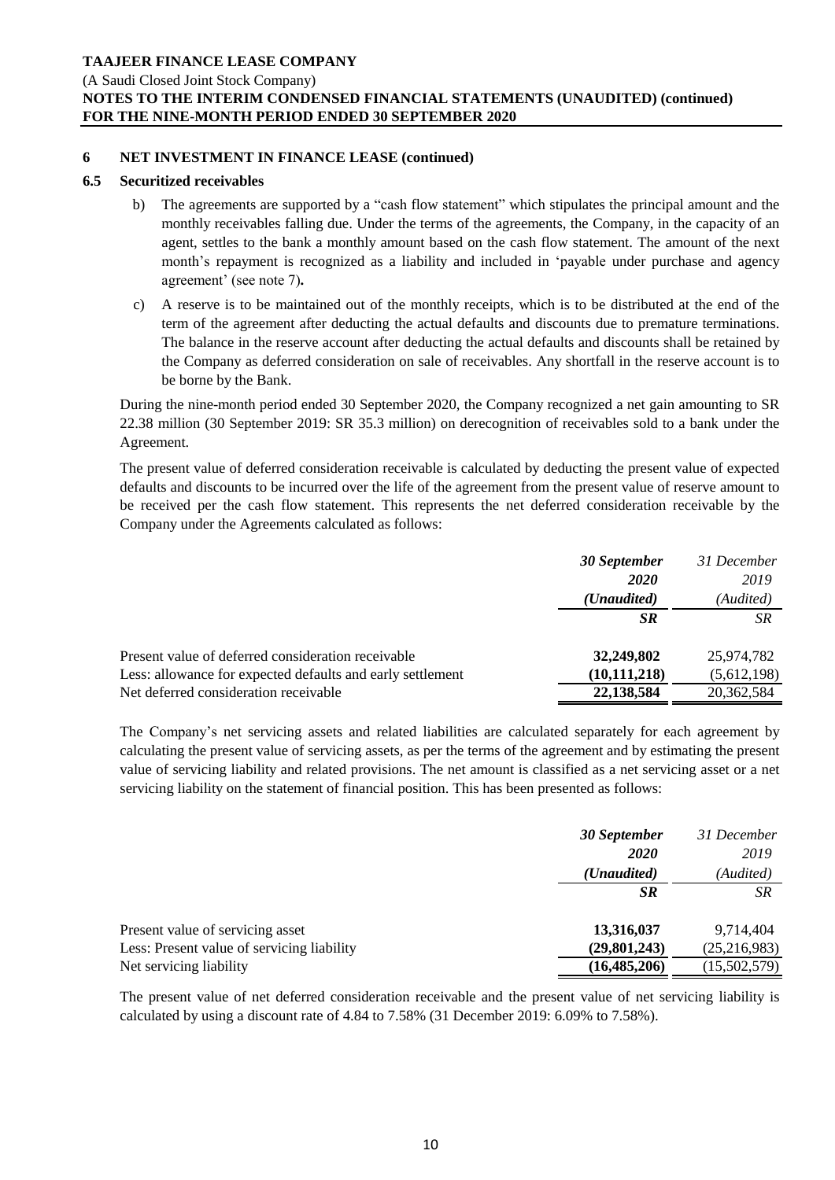(A Saudi Closed Joint Stock Company)

# **NOTES TO THE INTERIM CONDENSED FINANCIAL STATEMENTS (UNAUDITED) (continued) FOR THE NINE-MONTH PERIOD ENDED 30 SEPTEMBER 2020**

### **6 NET INVESTMENT IN FINANCE LEASE (continued)**

### **6.5 Securitized receivables**

- b) The agreements are supported by a "cash flow statement" which stipulates the principal amount and the monthly receivables falling due. Under the terms of the agreements, the Company, in the capacity of an agent, settles to the bank a monthly amount based on the cash flow statement. The amount of the next month's repayment is recognized as a liability and included in 'payable under purchase and agency agreement' (see note 7)**.**
- c) A reserve is to be maintained out of the monthly receipts, which is to be distributed at the end of the term of the agreement after deducting the actual defaults and discounts due to premature terminations. The balance in the reserve account after deducting the actual defaults and discounts shall be retained by the Company as deferred consideration on sale of receivables. Any shortfall in the reserve account is to be borne by the Bank.

During the nine-month period ended 30 September 2020, the Company recognized a net gain amounting to SR 22.38 million (30 September 2019: SR 35.3 million) on derecognition of receivables sold to a bank under the Agreement.

The present value of deferred consideration receivable is calculated by deducting the present value of expected defaults and discounts to be incurred over the life of the agreement from the present value of reserve amount to be received per the cash flow statement. This represents the net deferred consideration receivable by the Company under the Agreements calculated as follows:

|                                                            | 30 September         | 31 December |
|------------------------------------------------------------|----------------------|-------------|
|                                                            | <b>2020</b>          | 2019        |
|                                                            | ( <i>Unaudited</i> ) | (Audited)   |
|                                                            | <b>SR</b>            | SR          |
| Present value of deferred consideration receivable         | 32,249,802           | 25,974,782  |
| Less: allowance for expected defaults and early settlement | (10, 111, 218)       | (5,612,198) |
| Net deferred consideration receivable                      | 22,138,584           | 20,362,584  |
|                                                            |                      |             |

The Company's net servicing assets and related liabilities are calculated separately for each agreement by calculating the present value of servicing assets, as per the terms of the agreement and by estimating the present value of servicing liability and related provisions. The net amount is classified as a net servicing asset or a net servicing liability on the statement of financial position. This has been presented as follows:

|                                            | 30 September   | 31 December    |
|--------------------------------------------|----------------|----------------|
|                                            | 2020           | 2019           |
|                                            | (Unaudited)    | (Audited)      |
|                                            | SR.            | SR.            |
| Present value of servicing asset           | 13,316,037     | 9,714,404      |
| Less: Present value of servicing liability | (29, 801, 243) | (25, 216, 983) |
| Net servicing liability                    | (16, 485, 206) | (15,502,579)   |

The present value of net deferred consideration receivable and the present value of net servicing liability is calculated by using a discount rate of 4.84 to 7.58% (31 December 2019: 6.09% to 7.58%).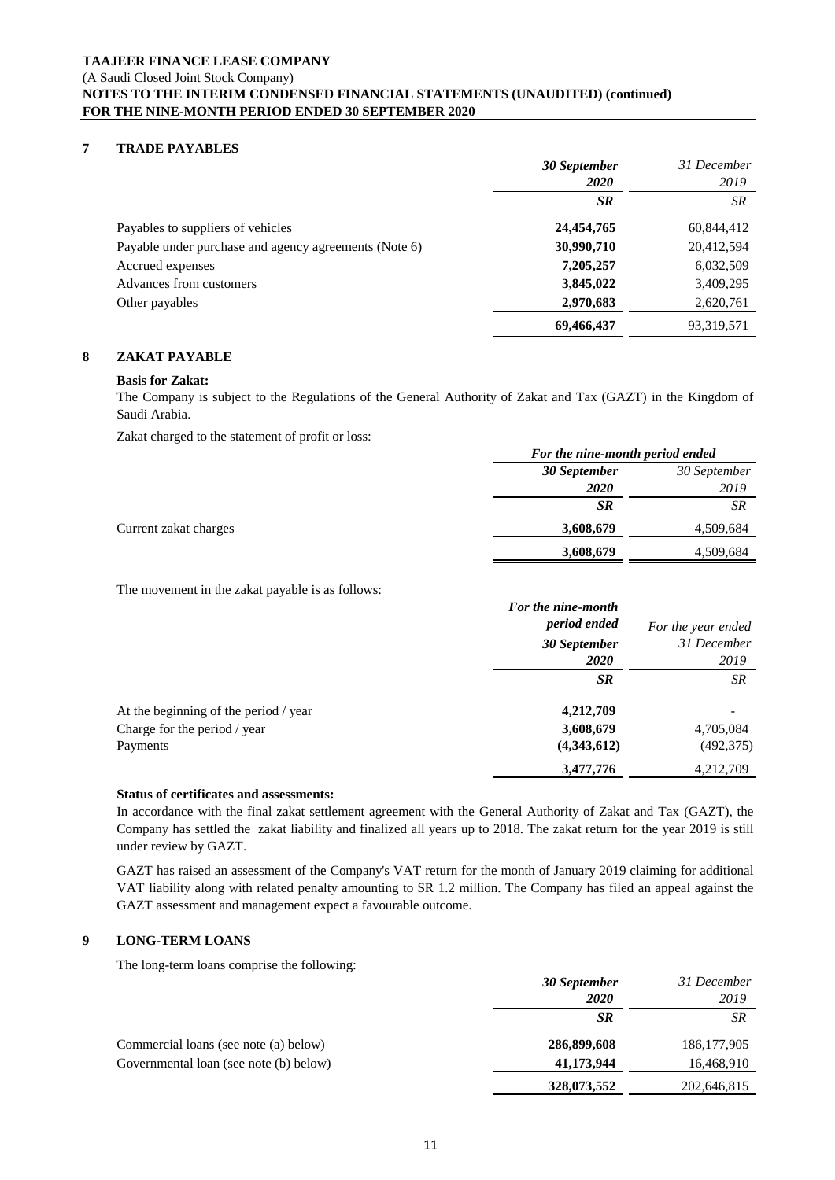## **7 TRADE PAYABLES**

|                                                       | 30 September | 31 December |
|-------------------------------------------------------|--------------|-------------|
|                                                       | <b>2020</b>  | 2019        |
|                                                       | <b>SR</b>    | SR          |
| Payables to suppliers of vehicles                     | 24,454,765   | 60,844,412  |
| Payable under purchase and agency agreements (Note 6) | 30,990,710   | 20,412,594  |
| Accrued expenses                                      | 7,205,257    | 6,032,509   |
| Advances from customers                               | 3,845,022    | 3,409,295   |
| Other payables                                        | 2,970,683    | 2,620,761   |
|                                                       | 69,466,437   | 93,319,571  |

#### **8 ZAKAT PAYABLE**

#### **Basis for Zakat:**

The Company is subject to the Regulations of the General Authority of Zakat and Tax (GAZT) in the Kingdom of Saudi Arabia.

Zakat charged to the statement of profit or loss:

|                       |              | For the nine-month period ended |  |
|-----------------------|--------------|---------------------------------|--|
|                       | 30 September | 30 September                    |  |
|                       | <b>2020</b>  | 2019                            |  |
|                       | <b>SR</b>    | SR                              |  |
| Current zakat charges | 3,608,679    | 4,509,684                       |  |
|                       | 3,608,679    | 4,509,684                       |  |

The movement in the zakat payable is as follows:

|                                       | For the nine-month |                    |
|---------------------------------------|--------------------|--------------------|
|                                       | period ended       | For the year ended |
|                                       | 30 September       | 31 December        |
|                                       | <b>2020</b>        | 2019               |
|                                       | <b>SR</b>          | SR                 |
| At the beginning of the period / year | 4,212,709          |                    |
| Charge for the period / year          | 3,608,679          | 4,705,084          |
| Payments                              | (4,343,612)        | (492, 375)         |
|                                       | 3,477,776          | 4,212,709          |

#### **Status of certificates and assessments:**

In accordance with the final zakat settlement agreement with the General Authority of Zakat and Tax (GAZT), the Company has settled the zakat liability and finalized all years up to 2018. The zakat return for the year 2019 is still under review by GAZT.

GAZT has raised an assessment of the Company's VAT return for the month of January 2019 claiming for additional VAT liability along with related penalty amounting to SR 1.2 million. The Company has filed an appeal against the GAZT assessment and management expect a favourable outcome.

#### **9 LONG-TERM LOANS**

The long-term loans comprise the following:

|                                        | 30 September | 31 December   |
|----------------------------------------|--------------|---------------|
|                                        | <i>2020</i>  | 2019          |
|                                        | <b>SR</b>    | SR            |
| Commercial loans (see note (a) below)  | 286,899,608  | 186, 177, 905 |
| Governmental loan (see note (b) below) | 41,173,944   | 16,468,910    |
|                                        | 328,073,552  | 202,646,815   |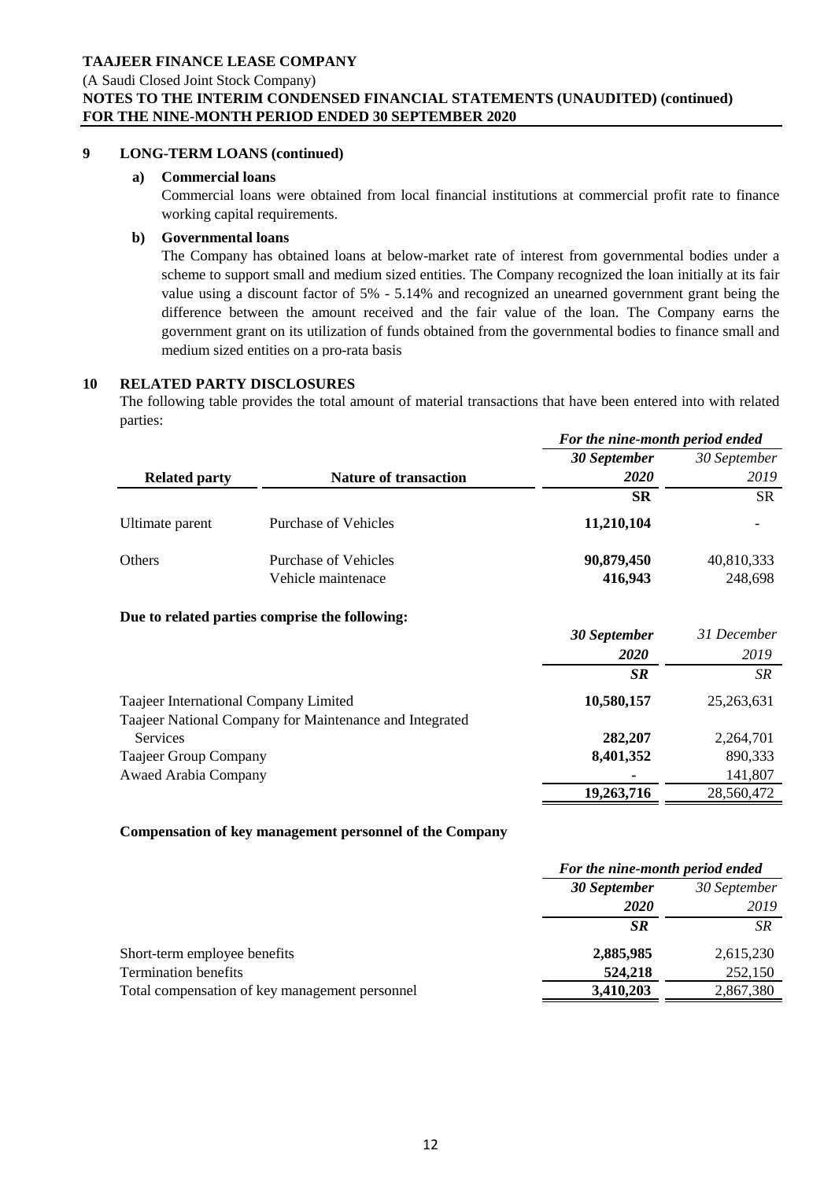(A Saudi Closed Joint Stock Company)

# **NOTES TO THE INTERIM CONDENSED FINANCIAL STATEMENTS (UNAUDITED) (continued) FOR THE NINE-MONTH PERIOD ENDED 30 SEPTEMBER 2020**

# **9 LONG-TERM LOANS (continued)**

### **a) Commercial loans**

Commercial loans were obtained from local financial institutions at commercial profit rate to finance working capital requirements.

### **b) Governmental loans**

The Company has obtained loans at below-market rate of interest from governmental bodies under a scheme to support small and medium sized entities. The Company recognized the loan initially at its fair value using a discount factor of 5% - 5.14% and recognized an unearned government grant being the difference between the amount received and the fair value of the loan. The Company earns the government grant on its utilization of funds obtained from the governmental bodies to finance small and medium sized entities on a pro-rata basis

### **10 RELATED PARTY DISCLOSURES**

The following table provides the total amount of material transactions that have been entered into with related parties:

|                                       |                                                         | For the nine-month period ended |              |
|---------------------------------------|---------------------------------------------------------|---------------------------------|--------------|
|                                       |                                                         | 30 September                    | 30 September |
| <b>Related party</b>                  | <b>Nature of transaction</b>                            | 2020                            | 2019         |
|                                       |                                                         | <b>SR</b>                       | <b>SR</b>    |
| Ultimate parent                       | <b>Purchase of Vehicles</b>                             | 11,210,104                      |              |
| Others                                | Purchase of Vehicles                                    | 90,879,450                      | 40,810,333   |
|                                       | Vehicle maintenace                                      | 416,943                         | 248,698      |
|                                       | Due to related parties comprise the following:          |                                 |              |
|                                       |                                                         | <b>30 September</b>             | 31 December  |
|                                       |                                                         | 2020                            | 2019         |
|                                       |                                                         | <b>SR</b>                       | SR           |
| Taajeer International Company Limited |                                                         | 10,580,157                      | 25, 263, 631 |
|                                       | Taajeer National Company for Maintenance and Integrated |                                 |              |
| <b>Services</b>                       |                                                         | 282,207                         | 2,264,701    |
| Taajeer Group Company                 |                                                         | 8,401,352                       | 890,333      |
| <b>Awaed Arabia Company</b>           |                                                         |                                 | 141,807      |
|                                       |                                                         | 19,263,716                      | 28,560,472   |

### **Compensation of key management personnel of the Company**

|                                                | For the nine-month period ended |                      |
|------------------------------------------------|---------------------------------|----------------------|
|                                                | 30 September<br><b>2020</b>     | 30 September<br>2019 |
|                                                | <b>SR</b>                       | <b>SR</b>            |
| Short-term employee benefits                   | 2,885,985                       | 2,615,230            |
| <b>Termination benefits</b>                    | 524,218                         | 252,150              |
| Total compensation of key management personnel | 3,410,203                       | 2,867,380            |